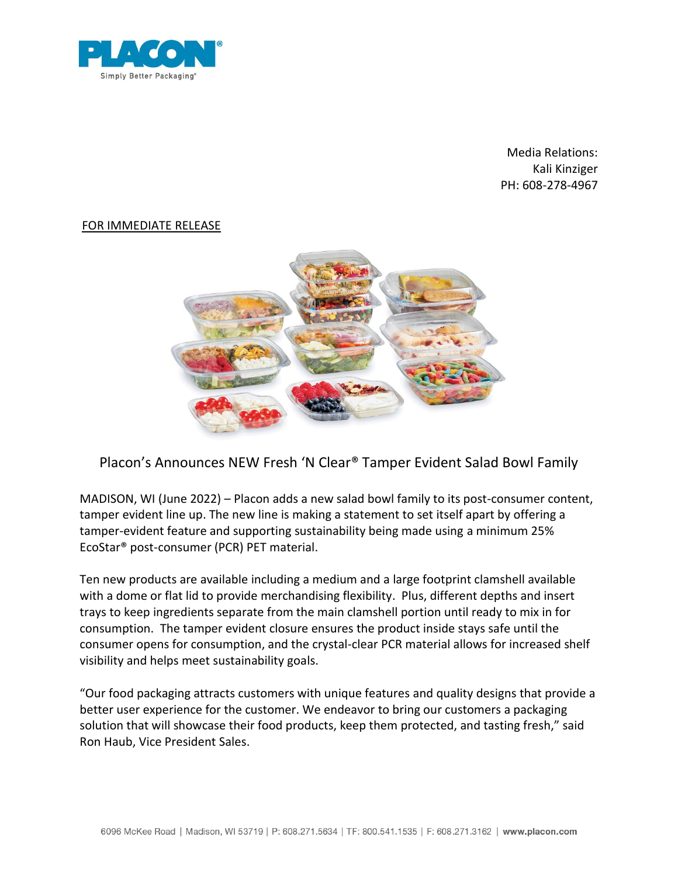

Media Relations: Kali Kinziger PH: 608-278-4967

## FOR IMMEDIATE RELEASE



## Placon's Announces NEW Fresh 'N Clear® Tamper Evident Salad Bowl Family

MADISON, WI (June 2022) – Placon adds a new salad bowl family to its post-consumer content, tamper evident line up. The new line is making a statement to set itself apart by offering a tamper-evident feature and supporting sustainability being made using a minimum 25% EcoStar® post-consumer (PCR) PET material.

Ten new products are available including a medium and a large footprint clamshell available with a dome or flat lid to provide merchandising flexibility. Plus, different depths and insert trays to keep ingredients separate from the main clamshell portion until ready to mix in for consumption. The tamper evident closure ensures the product inside stays safe until the consumer opens for consumption, and the crystal-clear PCR material allows for increased shelf visibility and helps meet sustainability goals.

"Our food packaging attracts customers with unique features and quality designs that provide a better user experience for the customer. We endeavor to bring our customers a packaging solution that will showcase their food products, keep them protected, and tasting fresh," said Ron Haub, Vice President Sales.